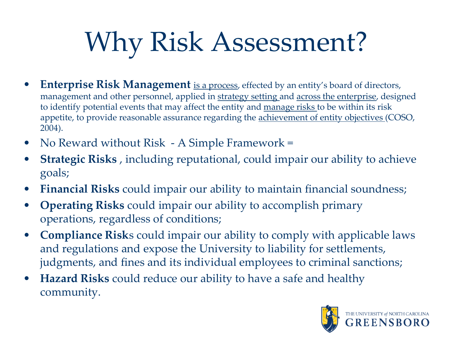## Why Risk Assessment?

- **Enterprise Risk Management** is a process, effected by an entity's board of directors, management and other personnel, applied in strategy setting and across the enterprise, designed to identify potential events that may affect the entity and manage risks to be within its risk appetite, to provide reasonable assurance regarding the **achievement** of entity objectives (COSO, 2004).
- No Reward without Risk A Simple Framework =
- **Strategic Risks**, including reputational, could impair our ability to achieve goals;
- **Financial Risks** could impair our ability to maintain financial soundness;
- **Operating Risks** could impair our ability to accomplish primary operations, regardless of conditions;
- **Compliance Risk**s could impair our ability to comply with applicable laws and regulations and expose the University to liability for settlements, judgments, and fines and its individual employees to criminal sanctions;
- **Hazard Risks** could reduce our ability to have a safe and healthy community.

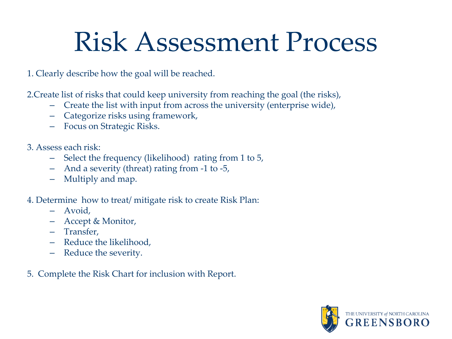## Risk Assessment Process

1. Clearly describe how the goal will be reached.

2.Create list of risks that could keep university from reaching the goal (the risks),

- Create the list with input from across the university (enterprise wide),
- Categorize risks using framework,
- Focus on Strategic Risks.
- 3. Assess each risk:
	- Select the frequency (likelihood) rating from 1 to 5,
	- And a severity (threat) rating from -1 to -5,
	- Multiply and map.
- 4. Determine how to treat/ mitigate risk to create Risk Plan:
	- Avoid,
	- Accept & Monitor,
	- Transfer,
	- Reduce the likelihood,
	- Reduce the severity.
- 5. Complete the Risk Chart for inclusion with Report.

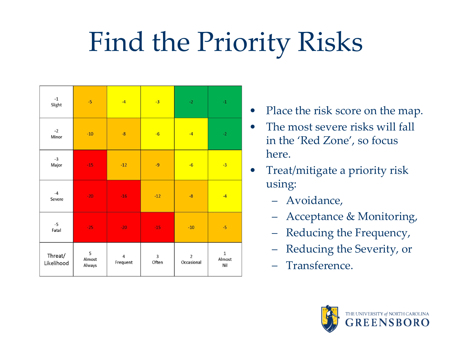## Find the Priority Risks

| $^{\text{{\small -1}}}$<br>Slight | $-5$                  | $-4$                       | $-3$       | $\textcolor{red}{\textbf{-2}}$ | $^{\rm -1}$                  |
|-----------------------------------|-----------------------|----------------------------|------------|--------------------------------|------------------------------|
| $-2$<br>Minor                     | $-10$                 | $-8$                       | $-6$       | $-4$                           | $-2$                         |
| $-3$<br>Major                     | $-15$                 | $-12$                      | $-9$       | $-6$                           | $-3$                         |
| $-4$<br>Severe                    | $-20$                 | $-16$                      | $-12$      | $-8$                           | $-4$                         |
| $-5$<br>Fatal                     | $-25$                 | $-20$                      | $-15$      | $-10$                          | $-5$                         |
| Threat/<br>Likelihood             | 5<br>Almost<br>Always | $\overline{4}$<br>Frequent | 3<br>Often | $\overline{2}$<br>Occasional   | $\mathbf 1$<br>Almost<br>Nil |

- Place the risk score on the map.
- The most severe risks will fall in the 'Red Zone', so focus here.
- Treat/mitigate a priority risk using:
	- Avoidance,
	- Acceptance & Monitoring,
	- Reducing the Frequency,
	- Reducing the Severity, or
	- Transference.